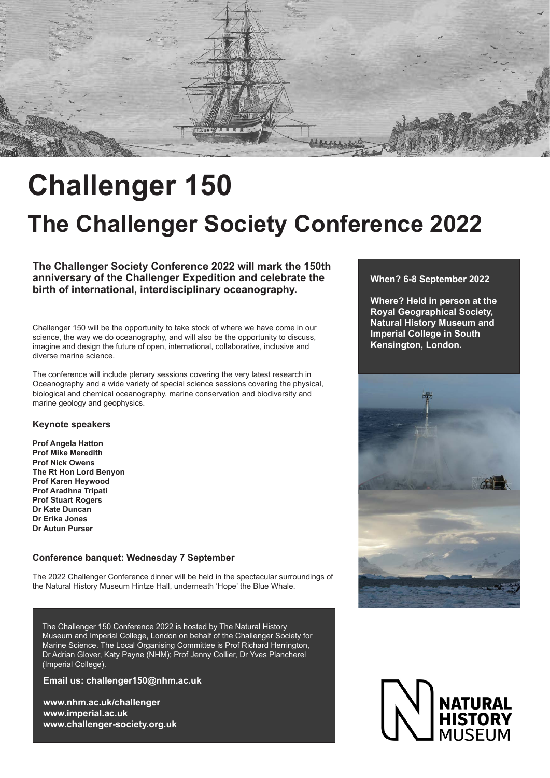

## **Challenger 150**

## **The Challenger Society Conference 2022**

### **When? 6-8 September 2022**

**Where? Held in person at the Royal Geographical Society, Natural History Museum and Imperial College in South Kensington, London.**



**The Challenger Society Conference 2022 will mark the 150th anniversary of the Challenger Expedition and celebrate the birth of international, interdisciplinary oceanography.** 

Challenger 150 will be the opportunity to take stock of where we have come in our science, the way we do oceanography, and will also be the opportunity to discuss, imagine and design the future of open, international, collaborative, inclusive and diverse marine science.

The conference will include plenary sessions covering the very latest research in Oceanography and a wide variety of special science sessions covering the physical, biological and chemical oceanography, marine conservation and biodiversity and marine geology and geophysics.

#### **Keynote speakers**

**Prof Angela Hatton Prof Mike Meredith Prof Nick Owens The Rt Hon Lord Benyon Prof Karen Heywood Prof Aradhna Tripati Prof Stuart Rogers Dr Kate Duncan Dr Erika Jones Dr Autun Purser**

#### **Conference banquet: Wednesday 7 September**

The 2022 Challenger Conference dinner will be held in the spectacular surroundings of the Natural History Museum Hintze Hall, underneath 'Hope' the Blue Whale.

**Email us: challenger150@nhm.ac.uk**

**www.nhm.ac.uk/challenger www.imperial.ac.uk www.challenger-society.org.uk**



The Challenger 150 Conference 2022 is hosted by The Natural History Museum and Imperial College, London on behalf of the Challenger Society for Marine Science. The Local Organising Committee is Prof Richard Herrington, Dr Adrian Glover, Katy Payne (NHM); Prof Jenny Collier, Dr Yves Plancherel (Imperial College).